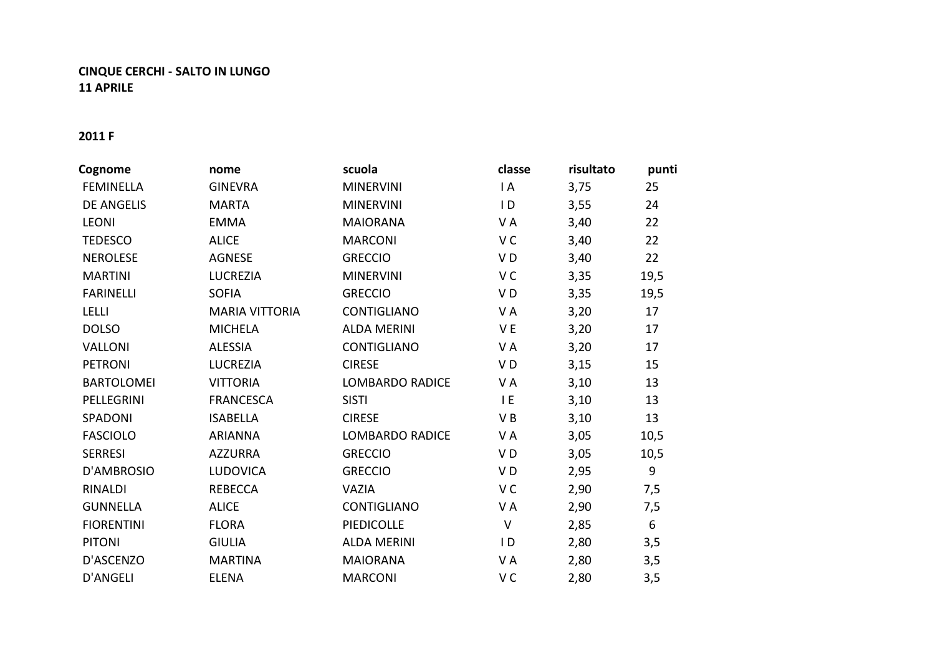## **CINQUE CERCHI - SALTO IN LUNGO 11 APRILE**

## **2011 F**

| Cognome           | nome                  | scuola                 | classe         | risultato | punti |
|-------------------|-----------------------|------------------------|----------------|-----------|-------|
| <b>FEMINELLA</b>  | <b>GINEVRA</b>        | <b>MINERVINI</b>       | $\overline{A}$ | 3,75      | 25    |
| <b>DE ANGELIS</b> | <b>MARTA</b>          | <b>MINERVINI</b>       | $\overline{D}$ | 3,55      | 24    |
| <b>LEONI</b>      | <b>EMMA</b>           | <b>MAIORANA</b>        | VA             | 3,40      | 22    |
| <b>TEDESCO</b>    | <b>ALICE</b>          | <b>MARCONI</b>         | V <sub>C</sub> | 3,40      | 22    |
| <b>NEROLESE</b>   | <b>AGNESE</b>         | <b>GRECCIO</b>         | VD             | 3,40      | 22    |
| <b>MARTINI</b>    | LUCREZIA              | <b>MINERVINI</b>       | V <sub>C</sub> | 3,35      | 19,5  |
| <b>FARINELLI</b>  | <b>SOFIA</b>          | <b>GRECCIO</b>         | VD             | 3,35      | 19,5  |
| <b>LELLI</b>      | <b>MARIA VITTORIA</b> | <b>CONTIGLIANO</b>     | VA             | 3,20      | 17    |
| <b>DOLSO</b>      | <b>MICHELA</b>        | <b>ALDA MERINI</b>     | V E            | 3,20      | 17    |
| <b>VALLONI</b>    | <b>ALESSIA</b>        | <b>CONTIGLIANO</b>     | VA             | 3,20      | 17    |
| <b>PETRONI</b>    | <b>LUCREZIA</b>       | <b>CIRESE</b>          | V <sub>D</sub> | 3,15      | 15    |
| <b>BARTOLOMEI</b> | <b>VITTORIA</b>       | <b>LOMBARDO RADICE</b> | VA             | 3,10      | 13    |
| PELLEGRINI        | <b>FRANCESCA</b>      | <b>SISTI</b>           | E              | 3,10      | 13    |
| SPADONI           | <b>ISABELLA</b>       | <b>CIRESE</b>          | VB             | 3,10      | 13    |
| <b>FASCIOLO</b>   | <b>ARIANNA</b>        | <b>LOMBARDO RADICE</b> | VA             | 3,05      | 10,5  |
| <b>SERRESI</b>    | <b>AZZURRA</b>        | <b>GRECCIO</b>         | VD             | 3,05      | 10,5  |
| D'AMBROSIO        | <b>LUDOVICA</b>       | <b>GRECCIO</b>         | VD             | 2,95      | 9     |
| RINALDI           | <b>REBECCA</b>        | <b>VAZIA</b>           | V C            | 2,90      | 7,5   |
| <b>GUNNELLA</b>   | <b>ALICE</b>          | <b>CONTIGLIANO</b>     | VA             | 2,90      | 7,5   |
| <b>FIORENTINI</b> | <b>FLORA</b>          | <b>PIEDICOLLE</b>      | $\vee$         | 2,85      | 6     |
| <b>PITONI</b>     | <b>GIULIA</b>         | <b>ALDA MERINI</b>     | I D            | 2,80      | 3,5   |
| D'ASCENZO         | <b>MARTINA</b>        | <b>MAIORANA</b>        | VA             | 2,80      | 3,5   |
| <b>D'ANGELI</b>   | <b>ELENA</b>          | <b>MARCONI</b>         | V C            | 2,80      | 3,5   |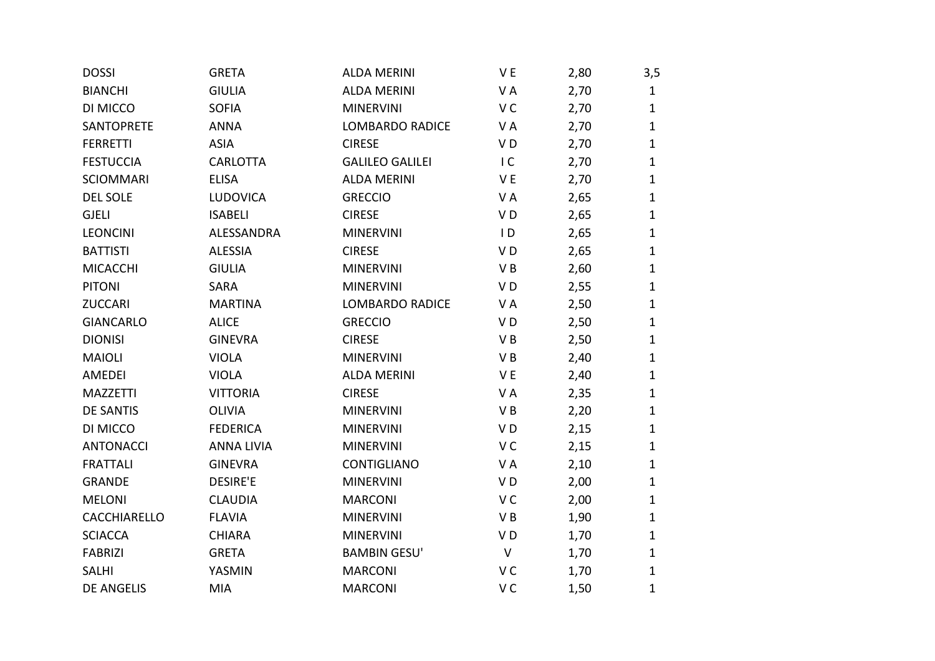| <b>DOSSI</b>      | <b>GRETA</b>      | <b>ALDA MERINI</b>     | V E            | 2,80 | 3,5          |
|-------------------|-------------------|------------------------|----------------|------|--------------|
| <b>BIANCHI</b>    | <b>GIULIA</b>     | <b>ALDA MERINI</b>     | VA             | 2,70 | $\mathbf{1}$ |
| DI MICCO          | <b>SOFIA</b>      | <b>MINERVINI</b>       | V <sub>C</sub> | 2,70 | $\mathbf{1}$ |
| SANTOPRETE        | <b>ANNA</b>       | <b>LOMBARDO RADICE</b> | VA             | 2,70 | $\mathbf{1}$ |
| <b>FERRETTI</b>   | <b>ASIA</b>       | <b>CIRESE</b>          | VD             | 2,70 | $\mathbf{1}$ |
| <b>FESTUCCIA</b>  | CARLOTTA          | <b>GALILEO GALILEI</b> | IC             | 2,70 | $\mathbf{1}$ |
| <b>SCIOMMARI</b>  | <b>ELISA</b>      | <b>ALDA MERINI</b>     | V <sub>E</sub> | 2,70 | $\mathbf{1}$ |
| <b>DEL SOLE</b>   | LUDOVICA          | <b>GRECCIO</b>         | V A            | 2,65 | $\mathbf{1}$ |
| <b>GJELI</b>      | <b>ISABELI</b>    | <b>CIRESE</b>          | VD             | 2,65 | $\mathbf{1}$ |
| <b>LEONCINI</b>   | ALESSANDRA        | <b>MINERVINI</b>       | $\overline{D}$ | 2,65 | $\mathbf{1}$ |
| <b>BATTISTI</b>   | <b>ALESSIA</b>    | <b>CIRESE</b>          | VD             | 2,65 | $\mathbf{1}$ |
| <b>MICACCHI</b>   | <b>GIULIA</b>     | <b>MINERVINI</b>       | VB             | 2,60 | $\mathbf{1}$ |
| <b>PITONI</b>     | <b>SARA</b>       | <b>MINERVINI</b>       | V <sub>D</sub> | 2,55 | $\mathbf{1}$ |
| <b>ZUCCARI</b>    | <b>MARTINA</b>    | <b>LOMBARDO RADICE</b> | VA             | 2,50 | $\mathbf{1}$ |
| <b>GIANCARLO</b>  | <b>ALICE</b>      | <b>GRECCIO</b>         | VD             | 2,50 | $\mathbf{1}$ |
| <b>DIONISI</b>    | <b>GINEVRA</b>    | <b>CIRESE</b>          | VB             | 2,50 | $\mathbf{1}$ |
| <b>MAIOLI</b>     | <b>VIOLA</b>      | <b>MINERVINI</b>       | VB             | 2,40 | $\mathbf{1}$ |
| AMEDEI            | <b>VIOLA</b>      | <b>ALDA MERINI</b>     | V E            | 2,40 | $\mathbf{1}$ |
| <b>MAZZETTI</b>   | <b>VITTORIA</b>   | <b>CIRESE</b>          | VA             | 2,35 | $\mathbf{1}$ |
| <b>DE SANTIS</b>  | <b>OLIVIA</b>     | <b>MINERVINI</b>       | VB             | 2,20 | $\mathbf{1}$ |
| DI MICCO          | <b>FEDERICA</b>   | <b>MINERVINI</b>       | VD             | 2,15 | $\mathbf{1}$ |
| <b>ANTONACCI</b>  | <b>ANNA LIVIA</b> | <b>MINERVINI</b>       | V <sub>C</sub> | 2,15 | $\mathbf{1}$ |
| <b>FRATTALI</b>   | <b>GINEVRA</b>    | CONTIGLIANO            | VA             | 2,10 | $\mathbf{1}$ |
| <b>GRANDE</b>     | <b>DESIRE'E</b>   | <b>MINERVINI</b>       | VD             | 2,00 | $\mathbf{1}$ |
| <b>MELONI</b>     | <b>CLAUDIA</b>    | <b>MARCONI</b>         | V <sub>C</sub> | 2,00 | $\mathbf{1}$ |
| CACCHIARELLO      | <b>FLAVIA</b>     | <b>MINERVINI</b>       | VB             | 1,90 | $\mathbf{1}$ |
| <b>SCIACCA</b>    | <b>CHIARA</b>     | <b>MINERVINI</b>       | VD             | 1,70 | $\mathbf{1}$ |
| <b>FABRIZI</b>    | <b>GRETA</b>      | <b>BAMBIN GESU'</b>    | V              | 1,70 | $\mathbf{1}$ |
| <b>SALHI</b>      | YASMIN            | <b>MARCONI</b>         | V <sub>C</sub> | 1,70 | $\mathbf{1}$ |
| <b>DE ANGELIS</b> | <b>MIA</b>        | <b>MARCONI</b>         | V <sub>C</sub> | 1,50 | $\mathbf{1}$ |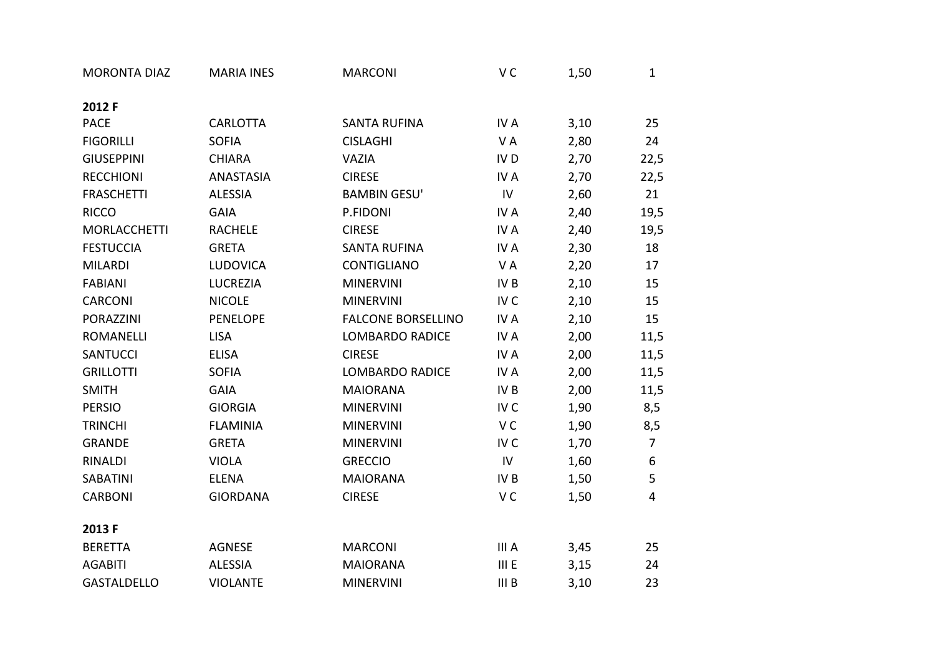| <b>MORONTA DIAZ</b> | <b>MARIA INES</b> | <b>MARCONI</b>            | V <sub>C</sub>  | 1,50 | $\mathbf{1}$   |
|---------------------|-------------------|---------------------------|-----------------|------|----------------|
| 2012 F              |                   |                           |                 |      |                |
| <b>PACE</b>         | <b>CARLOTTA</b>   | <b>SANTA RUFINA</b>       | IV A            | 3,10 | 25             |
| <b>FIGORILLI</b>    | <b>SOFIA</b>      | <b>CISLAGHI</b>           | VA              | 2,80 | 24             |
| <b>GIUSEPPINI</b>   | <b>CHIARA</b>     | VAZIA                     | IV <sub>D</sub> | 2,70 | 22,5           |
| <b>RECCHIONI</b>    | ANASTASIA         | <b>CIRESE</b>             | IV A            | 2,70 | 22,5           |
| <b>FRASCHETTI</b>   | <b>ALESSIA</b>    | <b>BAMBIN GESU'</b>       | IV              | 2,60 | 21             |
| <b>RICCO</b>        | <b>GAIA</b>       | P.FIDONI                  | IV A            | 2,40 | 19,5           |
| <b>MORLACCHETTI</b> | <b>RACHELE</b>    | <b>CIRESE</b>             | IV A            | 2,40 | 19,5           |
| <b>FESTUCCIA</b>    | <b>GRETA</b>      | <b>SANTA RUFINA</b>       | IV A            | 2,30 | 18             |
| <b>MILARDI</b>      | LUDOVICA          | <b>CONTIGLIANO</b>        | VA              | 2,20 | 17             |
| <b>FABIANI</b>      | <b>LUCREZIA</b>   | <b>MINERVINI</b>          | IV <sub>B</sub> | 2,10 | 15             |
| CARCONI             | <b>NICOLE</b>     | <b>MINERVINI</b>          | IV <sub>C</sub> | 2,10 | 15             |
| <b>PORAZZINI</b>    | <b>PENELOPE</b>   | <b>FALCONE BORSELLINO</b> | IV A            | 2,10 | 15             |
| <b>ROMANELLI</b>    | <b>LISA</b>       | <b>LOMBARDO RADICE</b>    | IV A            | 2,00 | 11,5           |
| <b>SANTUCCI</b>     | <b>ELISA</b>      | <b>CIRESE</b>             | IV A            | 2,00 | 11,5           |
| <b>GRILLOTTI</b>    | <b>SOFIA</b>      | <b>LOMBARDO RADICE</b>    | IV A            | 2,00 | 11,5           |
| <b>SMITH</b>        | <b>GAIA</b>       | <b>MAIORANA</b>           | IV <sub>B</sub> | 2,00 | 11,5           |
| <b>PERSIO</b>       | <b>GIORGIA</b>    | <b>MINERVINI</b>          | IV C            | 1,90 | 8,5            |
| <b>TRINCHI</b>      | <b>FLAMINIA</b>   | <b>MINERVINI</b>          | V <sub>C</sub>  | 1,90 | 8,5            |
| <b>GRANDE</b>       | <b>GRETA</b>      | <b>MINERVINI</b>          | IV <sub>C</sub> | 1,70 | $\overline{7}$ |
| <b>RINALDI</b>      | <b>VIOLA</b>      | <b>GRECCIO</b>            | ${\sf IV}$      | 1,60 | 6              |
| <b>SABATINI</b>     | <b>ELENA</b>      | <b>MAIORANA</b>           | IV B            | 1,50 | 5              |
| <b>CARBONI</b>      | <b>GIORDANA</b>   | <b>CIRESE</b>             | V <sub>C</sub>  | 1,50 | 4              |
| 2013 F              |                   |                           |                 |      |                |
| <b>BERETTA</b>      | <b>AGNESE</b>     | <b>MARCONI</b>            | III A           | 3,45 | 25             |
| <b>AGABITI</b>      | <b>ALESSIA</b>    | <b>MAIORANA</b>           | III E           | 3,15 | 24             |
| <b>GASTALDELLO</b>  | <b>VIOLANTE</b>   | <b>MINERVINI</b>          | III B           | 3,10 | 23             |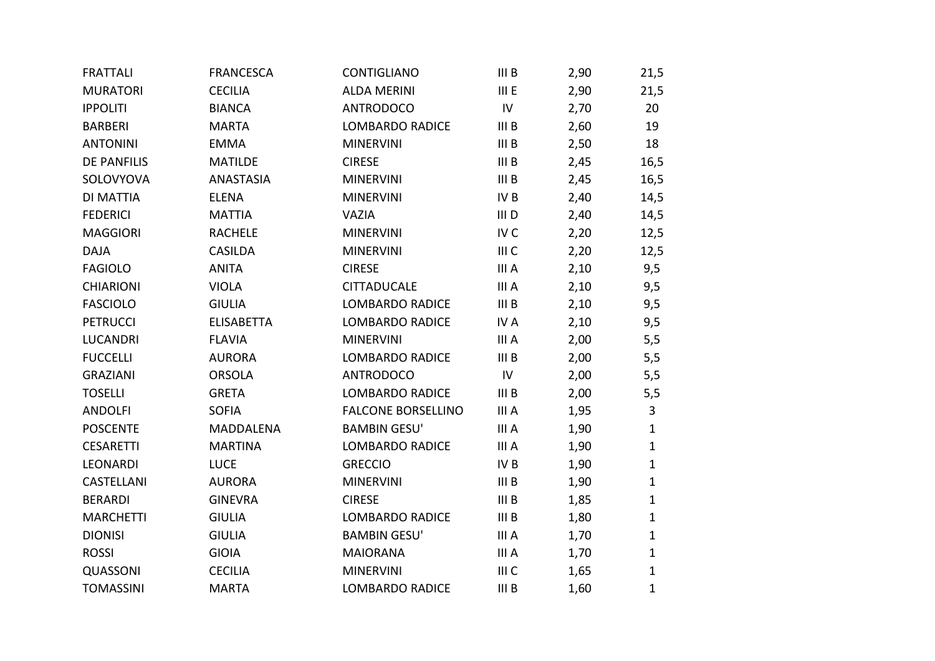| <b>FRATTALI</b>    | <b>FRANCESCA</b>  | CONTIGLIANO               | III <sub>B</sub> | 2,90 | 21,5         |
|--------------------|-------------------|---------------------------|------------------|------|--------------|
| <b>MURATORI</b>    | <b>CECILIA</b>    | <b>ALDA MERINI</b>        | III E            | 2,90 | 21,5         |
| <b>IPPOLITI</b>    | <b>BIANCA</b>     | <b>ANTRODOCO</b>          | IV               | 2,70 | 20           |
| <b>BARBERI</b>     | <b>MARTA</b>      | <b>LOMBARDO RADICE</b>    | III <sub>B</sub> | 2,60 | 19           |
| <b>ANTONINI</b>    | <b>EMMA</b>       | <b>MINERVINI</b>          | III <sub>B</sub> | 2,50 | 18           |
| <b>DE PANFILIS</b> | <b>MATILDE</b>    | <b>CIRESE</b>             | III <sub>B</sub> | 2,45 | 16,5         |
| SOLOVYOVA          | <b>ANASTASIA</b>  | <b>MINERVINI</b>          | III <sub>B</sub> | 2,45 | 16,5         |
| DI MATTIA          | <b>ELENA</b>      | <b>MINERVINI</b>          | IV B             | 2,40 | 14,5         |
| <b>FEDERICI</b>    | <b>MATTIA</b>     | VAZIA                     | III D            | 2,40 | 14,5         |
| <b>MAGGIORI</b>    | <b>RACHELE</b>    | <b>MINERVINI</b>          | IV <sub>C</sub>  | 2,20 | 12,5         |
| <b>DAJA</b>        | <b>CASILDA</b>    | <b>MINERVINI</b>          | III <sub>C</sub> | 2,20 | 12,5         |
| <b>FAGIOLO</b>     | <b>ANITA</b>      | <b>CIRESE</b>             | III A            | 2,10 | 9,5          |
| <b>CHIARIONI</b>   | <b>VIOLA</b>      | <b>CITTADUCALE</b>        | III A            | 2,10 | 9,5          |
| <b>FASCIOLO</b>    | <b>GIULIA</b>     | <b>LOMBARDO RADICE</b>    | III <sub>B</sub> | 2,10 | 9,5          |
| <b>PETRUCCI</b>    | <b>ELISABETTA</b> | <b>LOMBARDO RADICE</b>    | IV A             | 2,10 | 9,5          |
| <b>LUCANDRI</b>    | <b>FLAVIA</b>     | <b>MINERVINI</b>          | III A            | 2,00 | 5,5          |
| <b>FUCCELLI</b>    | <b>AURORA</b>     | <b>LOMBARDO RADICE</b>    | III <sub>B</sub> | 2,00 | 5,5          |
| <b>GRAZIANI</b>    | <b>ORSOLA</b>     | <b>ANTRODOCO</b>          | IV               | 2,00 | 5,5          |
| <b>TOSELLI</b>     | <b>GRETA</b>      | LOMBARDO RADICE           | III B            | 2,00 | 5,5          |
| <b>ANDOLFI</b>     | <b>SOFIA</b>      | <b>FALCONE BORSELLINO</b> | III A            | 1,95 | 3            |
| <b>POSCENTE</b>    | <b>MADDALENA</b>  | <b>BAMBIN GESU'</b>       | III A            | 1,90 | $\mathbf{1}$ |
| <b>CESARETTI</b>   | <b>MARTINA</b>    | <b>LOMBARDO RADICE</b>    | III A            | 1,90 | $\mathbf{1}$ |
| <b>LEONARDI</b>    | <b>LUCE</b>       | <b>GRECCIO</b>            | IV B             | 1,90 | $\mathbf{1}$ |
| CASTELLANI         | <b>AURORA</b>     | <b>MINERVINI</b>          | III <sub>B</sub> | 1,90 | $\mathbf{1}$ |
| <b>BERARDI</b>     | <b>GINEVRA</b>    | <b>CIRESE</b>             | III <sub>B</sub> | 1,85 | $\mathbf{1}$ |
| <b>MARCHETTI</b>   | <b>GIULIA</b>     | <b>LOMBARDO RADICE</b>    | III <sub>B</sub> | 1,80 | $\mathbf{1}$ |
| <b>DIONISI</b>     | <b>GIULIA</b>     | <b>BAMBIN GESU'</b>       | III A            | 1,70 | $\mathbf 1$  |
| <b>ROSSI</b>       | <b>GIOIA</b>      | <b>MAIORANA</b>           | III A            | 1,70 | $\mathbf{1}$ |
| QUASSONI           | <b>CECILIA</b>    | <b>MINERVINI</b>          | III C            | 1,65 | $\mathbf{1}$ |
| <b>TOMASSINI</b>   | <b>MARTA</b>      | <b>LOMBARDO RADICE</b>    | III <sub>B</sub> | 1,60 | $\mathbf{1}$ |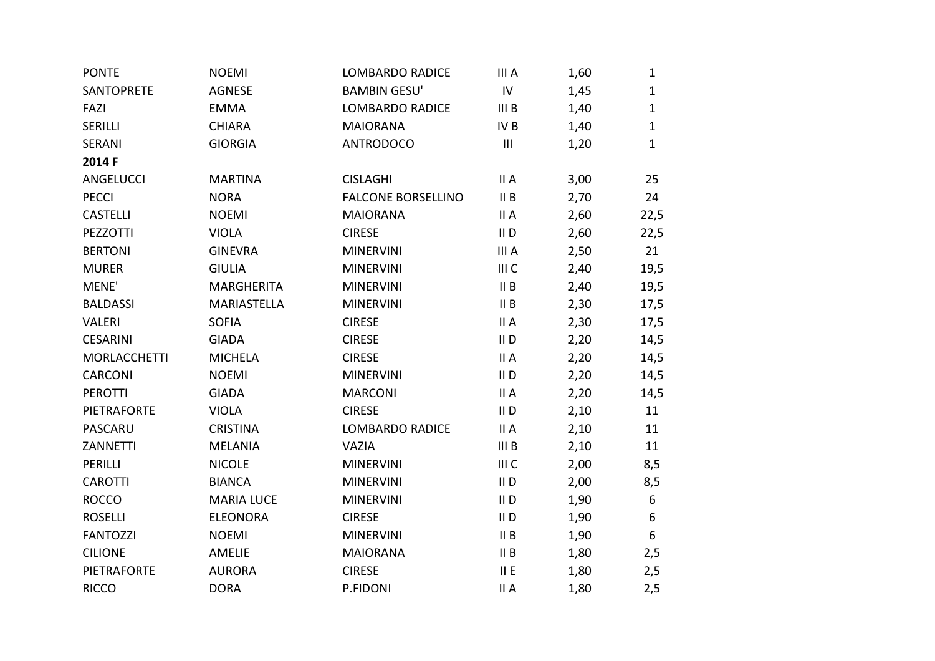| <b>PONTE</b>        | <b>NOEMI</b>      | <b>LOMBARDO RADICE</b>    | III A            | 1,60 | $\mathbf{1}$ |
|---------------------|-------------------|---------------------------|------------------|------|--------------|
| SANTOPRETE          | <b>AGNESE</b>     | <b>BAMBIN GESU'</b>       | ${\sf IV}$       | 1,45 | $\mathbf{1}$ |
| FAZI                | <b>EMMA</b>       | <b>LOMBARDO RADICE</b>    | III B            | 1,40 | $\mathbf{1}$ |
| <b>SERILLI</b>      | <b>CHIARA</b>     | <b>MAIORANA</b>           | IV B             | 1,40 | $\mathbf{1}$ |
| <b>SERANI</b>       | <b>GIORGIA</b>    | <b>ANTRODOCO</b>          | $\mathbf{III}$   | 1,20 | $\mathbf{1}$ |
| 2014 F              |                   |                           |                  |      |              |
| <b>ANGELUCCI</b>    | <b>MARTINA</b>    | <b>CISLAGHI</b>           | II A             | 3,00 | 25           |
| <b>PECCI</b>        | <b>NORA</b>       | <b>FALCONE BORSELLINO</b> | II B             | 2,70 | 24           |
| <b>CASTELLI</b>     | <b>NOEMI</b>      | <b>MAIORANA</b>           | II A             | 2,60 | 22,5         |
| <b>PEZZOTTI</b>     | <b>VIOLA</b>      | <b>CIRESE</b>             | $II$ D           | 2,60 | 22,5         |
| <b>BERTONI</b>      | <b>GINEVRA</b>    | <b>MINERVINI</b>          | III A            | 2,50 | 21           |
| <b>MURER</b>        | <b>GIULIA</b>     | <b>MINERVINI</b>          | III C            | 2,40 | 19,5         |
| MENE'               | MARGHERITA        | <b>MINERVINI</b>          | II B             | 2,40 | 19,5         |
| <b>BALDASSI</b>     | MARIASTELLA       | <b>MINERVINI</b>          | II B             | 2,30 | 17,5         |
| <b>VALERI</b>       | <b>SOFIA</b>      | <b>CIRESE</b>             | II A             | 2,30 | 17,5         |
| <b>CESARINI</b>     | <b>GIADA</b>      | <b>CIRESE</b>             | $II$ D           | 2,20 | 14,5         |
| <b>MORLACCHETTI</b> | <b>MICHELA</b>    | <b>CIRESE</b>             | II A             | 2,20 | 14,5         |
| CARCONI             | <b>NOEMI</b>      | <b>MINERVINI</b>          | $II$ D           | 2,20 | 14,5         |
| <b>PEROTTI</b>      | <b>GIADA</b>      | <b>MARCONI</b>            | II A             | 2,20 | 14,5         |
| <b>PIETRAFORTE</b>  | <b>VIOLA</b>      | <b>CIRESE</b>             | $II$ D           | 2,10 | 11           |
| PASCARU             | <b>CRISTINA</b>   | <b>LOMBARDO RADICE</b>    | II A             | 2,10 | 11           |
| <b>ZANNETTI</b>     | <b>MELANIA</b>    | VAZIA                     | III <sub>B</sub> | 2,10 | 11           |
| <b>PERILLI</b>      | <b>NICOLE</b>     | <b>MINERVINI</b>          | III C            | 2,00 | 8,5          |
| <b>CAROTTI</b>      | <b>BIANCA</b>     | <b>MINERVINI</b>          | $II$ D           | 2,00 | 8,5          |
| <b>ROCCO</b>        | <b>MARIA LUCE</b> | <b>MINERVINI</b>          | $II$ D           | 1,90 | 6            |
| <b>ROSELLI</b>      | <b>ELEONORA</b>   | <b>CIRESE</b>             | $II$ D           | 1,90 | 6            |
| <b>FANTOZZI</b>     | <b>NOEMI</b>      | <b>MINERVINI</b>          | II B             | 1,90 | 6            |
| <b>CILIONE</b>      | AMELIE            | <b>MAIORANA</b>           | II B             | 1,80 | 2,5          |
| <b>PIETRAFORTE</b>  | <b>AURORA</b>     | <b>CIRESE</b>             | II E             | 1,80 | 2,5          |
| <b>RICCO</b>        | <b>DORA</b>       | P.FIDONI                  | II A             | 1,80 | 2,5          |
|                     |                   |                           |                  |      |              |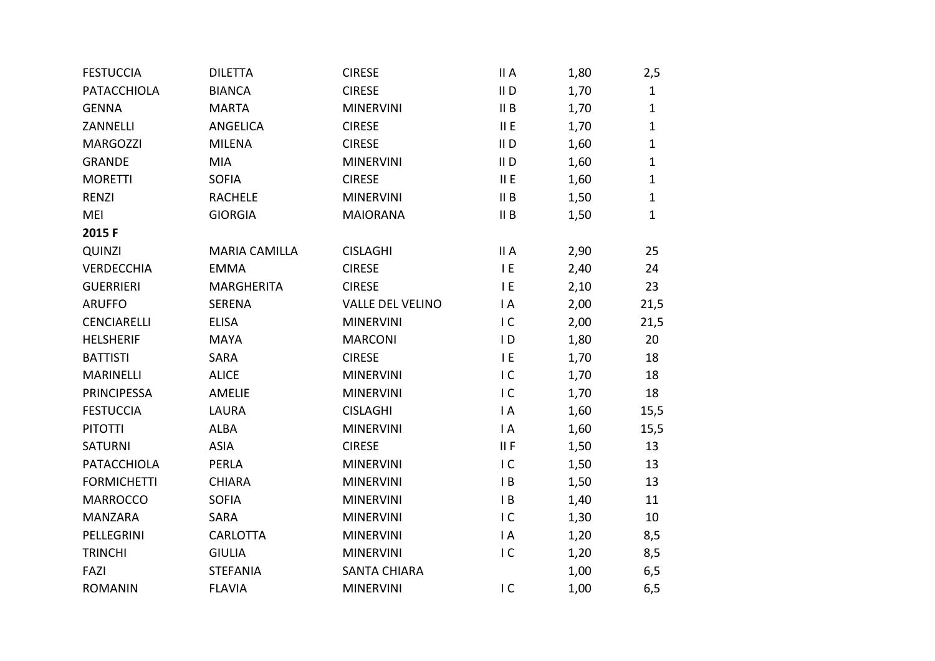| <b>FESTUCCIA</b>   | <b>DILETTA</b>       | <b>CIRESE</b>           | II A           | 1,80 | 2,5          |
|--------------------|----------------------|-------------------------|----------------|------|--------------|
| <b>PATACCHIOLA</b> | <b>BIANCA</b>        | <b>CIRESE</b>           | $II$ D         | 1,70 | $\mathbf{1}$ |
| <b>GENNA</b>       | <b>MARTA</b>         | <b>MINERVINI</b>        | II B           | 1,70 | $\mathbf{1}$ |
| ZANNELLI           | ANGELICA             | <b>CIRESE</b>           | II E           | 1,70 | $\mathbf{1}$ |
| <b>MARGOZZI</b>    | <b>MILENA</b>        | <b>CIRESE</b>           | $II$ D         | 1,60 | $\mathbf 1$  |
| <b>GRANDE</b>      | MIA                  | <b>MINERVINI</b>        | $II$ D         | 1,60 | $\mathbf{1}$ |
| <b>MORETTI</b>     | <b>SOFIA</b>         | <b>CIRESE</b>           | II E           | 1,60 | $\mathbf 1$  |
| <b>RENZI</b>       | <b>RACHELE</b>       | <b>MINERVINI</b>        | II B           | 1,50 | $\mathbf{1}$ |
| MEI                | <b>GIORGIA</b>       | <b>MAIORANA</b>         | II B           | 1,50 | $\mathbf 1$  |
| 2015F              |                      |                         |                |      |              |
| QUINZI             | <b>MARIA CAMILLA</b> | <b>CISLAGHI</b>         | II A           | 2,90 | 25           |
| <b>VERDECCHIA</b>  | <b>EMMA</b>          | <b>CIRESE</b>           | E              | 2,40 | 24           |
| <b>GUERRIERI</b>   | <b>MARGHERITA</b>    | <b>CIRESE</b>           | IE             | 2,10 | 23           |
| <b>ARUFFO</b>      | <b>SERENA</b>        | <b>VALLE DEL VELINO</b> | $\mathsf{I}$ A | 2,00 | 21,5         |
| <b>CENCIARELLI</b> | <b>ELISA</b>         | <b>MINERVINI</b>        | IC             | 2,00 | 21,5         |
| <b>HELSHERIF</b>   | <b>MAYA</b>          | <b>MARCONI</b>          | $\overline{D}$ | 1,80 | 20           |
| <b>BATTISTI</b>    | <b>SARA</b>          | <b>CIRESE</b>           | IE             | 1,70 | 18           |
| MARINELLI          | <b>ALICE</b>         | <b>MINERVINI</b>        | IC             | 1,70 | 18           |
| <b>PRINCIPESSA</b> | <b>AMELIE</b>        | <b>MINERVINI</b>        | IC             | 1,70 | 18           |
| <b>FESTUCCIA</b>   | <b>LAURA</b>         | <b>CISLAGHI</b>         | $\mathsf{I}$ A | 1,60 | 15,5         |
| <b>PITOTTI</b>     | <b>ALBA</b>          | <b>MINERVINI</b>        | $\mathsf{I}$ A | 1,60 | 15,5         |
| <b>SATURNI</b>     | <b>ASIA</b>          | <b>CIRESE</b>           | II F           | 1,50 | 13           |
| PATACCHIOLA        | <b>PERLA</b>         | <b>MINERVINI</b>        | IC             | 1,50 | 13           |
| <b>FORMICHETTI</b> | <b>CHIARA</b>        | <b>MINERVINI</b>        | $\mathsf{I}$ B | 1,50 | 13           |
| <b>MARROCCO</b>    | <b>SOFIA</b>         | <b>MINERVINI</b>        | $\mathsf{I}$ B | 1,40 | 11           |
| MANZARA            | <b>SARA</b>          | <b>MINERVINI</b>        | IC             | 1,30 | 10           |
| PELLEGRINI         | CARLOTTA             | <b>MINERVINI</b>        | $\mathsf{I}$ A | 1,20 | 8,5          |
| <b>TRINCHI</b>     | <b>GIULIA</b>        | <b>MINERVINI</b>        | IC             | 1,20 | 8,5          |
| FAZI               | <b>STEFANIA</b>      | <b>SANTA CHIARA</b>     |                | 1,00 | 6, 5         |
| <b>ROMANIN</b>     | <b>FLAVIA</b>        | <b>MINERVINI</b>        | IC             | 1,00 | 6,5          |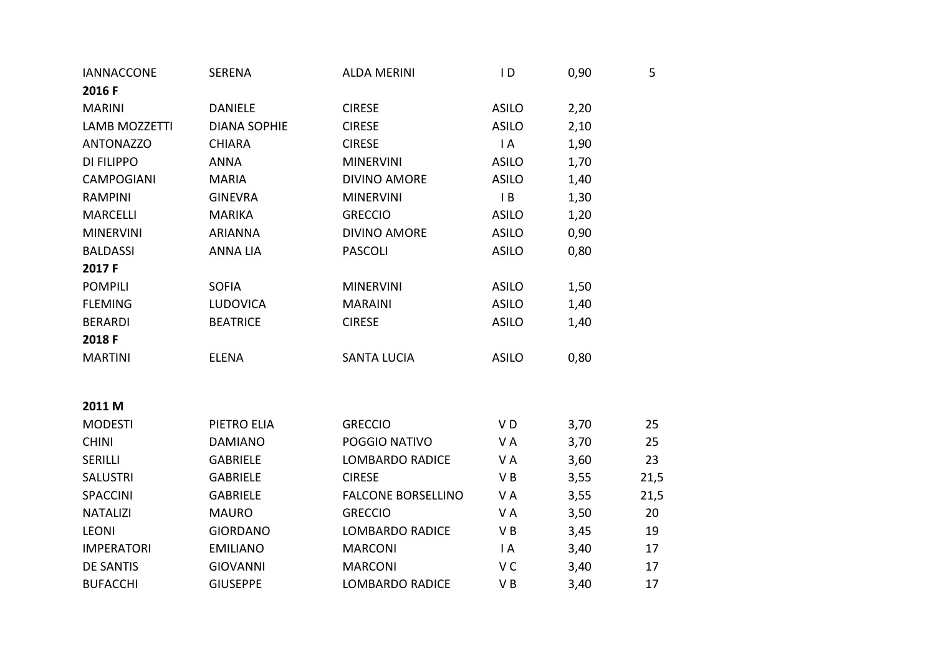| <b>IANNACCONE</b>    | SERENA              | <b>ALDA MERINI</b>        | $\overline{D}$ | 0,90 | 5    |
|----------------------|---------------------|---------------------------|----------------|------|------|
| 2016 F               |                     |                           |                |      |      |
| <b>MARINI</b>        | <b>DANIELE</b>      | <b>CIRESE</b>             | <b>ASILO</b>   | 2,20 |      |
| <b>LAMB MOZZETTI</b> | <b>DIANA SOPHIE</b> | <b>CIRESE</b>             | <b>ASILO</b>   | 2,10 |      |
| <b>ANTONAZZO</b>     | <b>CHIARA</b>       | <b>CIRESE</b>             | I A            | 1,90 |      |
| <b>DI FILIPPO</b>    | <b>ANNA</b>         | <b>MINERVINI</b>          | <b>ASILO</b>   | 1,70 |      |
| <b>CAMPOGIANI</b>    | <b>MARIA</b>        | <b>DIVINO AMORE</b>       | <b>ASILO</b>   | 1,40 |      |
| <b>RAMPINI</b>       | <b>GINEVRA</b>      | <b>MINERVINI</b>          | $\mathsf{I}$ B | 1,30 |      |
| <b>MARCELLI</b>      | <b>MARIKA</b>       | <b>GRECCIO</b>            | <b>ASILO</b>   | 1,20 |      |
| <b>MINERVINI</b>     | <b>ARIANNA</b>      | <b>DIVINO AMORE</b>       | <b>ASILO</b>   | 0,90 |      |
| <b>BALDASSI</b>      | <b>ANNA LIA</b>     | <b>PASCOLI</b>            | <b>ASILO</b>   | 0,80 |      |
| 2017 F               |                     |                           |                |      |      |
| <b>POMPILI</b>       | <b>SOFIA</b>        | <b>MINERVINI</b>          | <b>ASILO</b>   | 1,50 |      |
| <b>FLEMING</b>       | <b>LUDOVICA</b>     | <b>MARAINI</b>            | <b>ASILO</b>   | 1,40 |      |
| <b>BERARDI</b>       | <b>BEATRICE</b>     | <b>CIRESE</b>             | <b>ASILO</b>   | 1,40 |      |
| 2018 F               |                     |                           |                |      |      |
| <b>MARTINI</b>       | <b>ELENA</b>        | <b>SANTA LUCIA</b>        | <b>ASILO</b>   | 0,80 |      |
|                      |                     |                           |                |      |      |
|                      |                     |                           |                |      |      |
| 2011 M               |                     |                           |                |      |      |
| <b>MODESTI</b>       | PIETRO ELIA         | <b>GRECCIO</b>            | VD             | 3,70 | 25   |
| <b>CHINI</b>         | <b>DAMIANO</b>      | POGGIO NATIVO             | V A            | 3,70 | 25   |
| SERILLI              | <b>GABRIELE</b>     | <b>LOMBARDO RADICE</b>    | V A            | 3,60 | 23   |
| <b>SALUSTRI</b>      | <b>GABRIELE</b>     | <b>CIRESE</b>             | VB             | 3,55 | 21,5 |
| <b>SPACCINI</b>      | <b>GABRIELE</b>     | <b>FALCONE BORSELLINO</b> | V A            | 3,55 | 21,5 |
| <b>NATALIZI</b>      | <b>MAURO</b>        | <b>GRECCIO</b>            | V A            | 3,50 | 20   |
| <b>LEONI</b>         | <b>GIORDANO</b>     | <b>LOMBARDO RADICE</b>    | VB             | 3,45 | 19   |
| <b>IMPERATORI</b>    | <b>EMILIANO</b>     | <b>MARCONI</b>            | I A            | 3,40 | 17   |
| <b>DE SANTIS</b>     | <b>GIOVANNI</b>     | <b>MARCONI</b>            | V C            | 3,40 | 17   |
| <b>BUFACCHI</b>      | <b>GIUSEPPE</b>     | <b>LOMBARDO RADICE</b>    | VB             | 3,40 | 17   |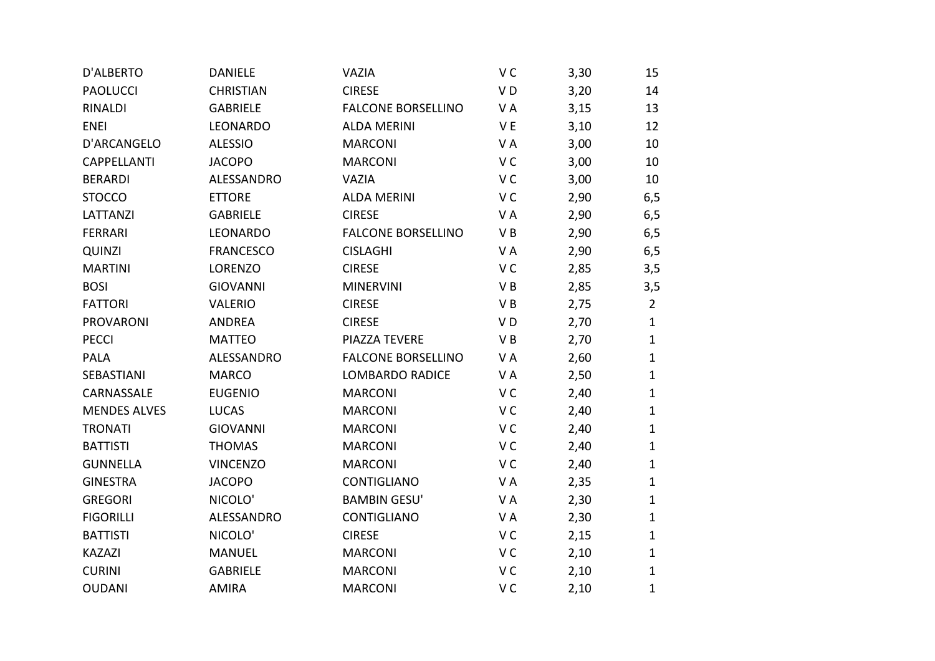| D'ALBERTO           | <b>DANIELE</b>   | VAZIA                     | V <sub>C</sub> | 3,30 | 15             |
|---------------------|------------------|---------------------------|----------------|------|----------------|
| <b>PAOLUCCI</b>     | <b>CHRISTIAN</b> | <b>CIRESE</b>             | VD             | 3,20 | 14             |
| <b>RINALDI</b>      | <b>GABRIELE</b>  | <b>FALCONE BORSELLINO</b> | VA             | 3,15 | 13             |
| <b>ENEI</b>         | LEONARDO         | <b>ALDA MERINI</b>        | VE             | 3,10 | 12             |
| D'ARCANGELO         | <b>ALESSIO</b>   | <b>MARCONI</b>            | VA             | 3,00 | 10             |
| <b>CAPPELLANTI</b>  | <b>JACOPO</b>    | <b>MARCONI</b>            | V <sub>C</sub> | 3,00 | 10             |
| <b>BERARDI</b>      | ALESSANDRO       | VAZIA                     | V <sub>C</sub> | 3,00 | 10             |
| <b>STOCCO</b>       | <b>ETTORE</b>    | <b>ALDA MERINI</b>        | V <sub>C</sub> | 2,90 | 6,5            |
| <b>LATTANZI</b>     | <b>GABRIELE</b>  | <b>CIRESE</b>             | VA             | 2,90 | 6, 5           |
| <b>FERRARI</b>      | LEONARDO         | <b>FALCONE BORSELLINO</b> | VB             | 2,90 | 6, 5           |
| <b>QUINZI</b>       | <b>FRANCESCO</b> | <b>CISLAGHI</b>           | VA             | 2,90 | 6, 5           |
| <b>MARTINI</b>      | <b>LORENZO</b>   | <b>CIRESE</b>             | V C            | 2,85 | 3,5            |
| <b>BOSI</b>         | <b>GIOVANNI</b>  | <b>MINERVINI</b>          | VB             | 2,85 | 3,5            |
| <b>FATTORI</b>      | <b>VALERIO</b>   | <b>CIRESE</b>             | VB             | 2,75 | $\overline{2}$ |
| <b>PROVARONI</b>    | <b>ANDREA</b>    | <b>CIRESE</b>             | V <sub>D</sub> | 2,70 | $\mathbf{1}$   |
| <b>PECCI</b>        | <b>MATTEO</b>    | PIAZZA TEVERE             | VB             | 2,70 | $\mathbf{1}$   |
| <b>PALA</b>         | ALESSANDRO       | <b>FALCONE BORSELLINO</b> | VA             | 2,60 | $\mathbf{1}$   |
| SEBASTIANI          | <b>MARCO</b>     | <b>LOMBARDO RADICE</b>    | VA             | 2,50 | $\mathbf{1}$   |
| CARNASSALE          | <b>EUGENIO</b>   | <b>MARCONI</b>            | V <sub>C</sub> | 2,40 | $\mathbf{1}$   |
| <b>MENDES ALVES</b> | <b>LUCAS</b>     | <b>MARCONI</b>            | VC             | 2,40 | $\mathbf{1}$   |
| <b>TRONATI</b>      | <b>GIOVANNI</b>  | <b>MARCONI</b>            | V <sub>C</sub> | 2,40 | $\mathbf{1}$   |
| <b>BATTISTI</b>     | <b>THOMAS</b>    | <b>MARCONI</b>            | V <sub>C</sub> | 2,40 | $\mathbf{1}$   |
| <b>GUNNELLA</b>     | <b>VINCENZO</b>  | <b>MARCONI</b>            | V <sub>C</sub> | 2,40 | $\mathbf{1}$   |
| <b>GINESTRA</b>     | <b>JACOPO</b>    | CONTIGLIANO               | VA             | 2,35 | $\mathbf{1}$   |
| <b>GREGORI</b>      | NICOLO'          | <b>BAMBIN GESU'</b>       | VA             | 2,30 | 1              |
| <b>FIGORILLI</b>    | ALESSANDRO       | CONTIGLIANO               | VA             | 2,30 | $\mathbf{1}$   |
| <b>BATTISTI</b>     | NICOLO'          | <b>CIRESE</b>             | V <sub>C</sub> | 2,15 | $\mathbf{1}$   |
| <b>KAZAZI</b>       | <b>MANUEL</b>    | <b>MARCONI</b>            | V C            | 2,10 | $\mathbf{1}$   |
| <b>CURINI</b>       | <b>GABRIELE</b>  | <b>MARCONI</b>            | V <sub>C</sub> | 2,10 | $\mathbf{1}$   |
| <b>OUDANI</b>       | <b>AMIRA</b>     | <b>MARCONI</b>            | V <sub>C</sub> | 2,10 | 1              |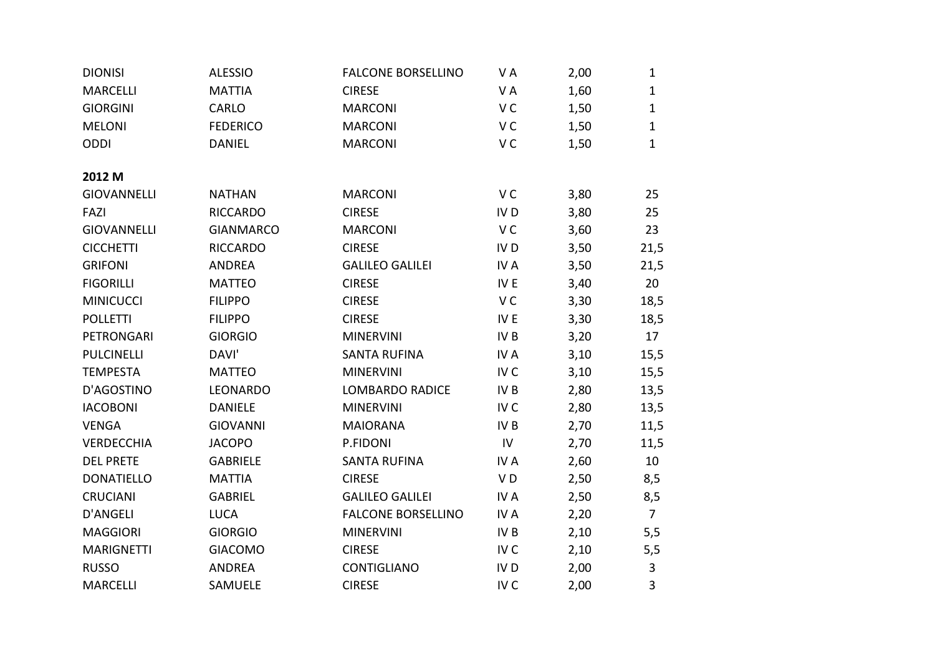| <b>DIONISI</b>     | <b>ALESSIO</b>   | <b>FALCONE BORSELLINO</b> | VA              | 2,00 | $\mathbf{1}$   |
|--------------------|------------------|---------------------------|-----------------|------|----------------|
| <b>MARCELLI</b>    | <b>MATTIA</b>    | <b>CIRESE</b>             | VA              | 1,60 | $\mathbf{1}$   |
| <b>GIORGINI</b>    | CARLO            | <b>MARCONI</b>            | V <sub>C</sub>  | 1,50 | $\mathbf{1}$   |
| <b>MELONI</b>      | <b>FEDERICO</b>  | <b>MARCONI</b>            | V <sub>C</sub>  | 1,50 | $\mathbf{1}$   |
| ODDI               | <b>DANIEL</b>    | <b>MARCONI</b>            | V <sub>C</sub>  | 1,50 | $\mathbf{1}$   |
|                    |                  |                           |                 |      |                |
| 2012 M             |                  |                           |                 |      |                |
| <b>GIOVANNELLI</b> | <b>NATHAN</b>    | <b>MARCONI</b>            | V <sub>C</sub>  | 3,80 | 25             |
| FAZI               | <b>RICCARDO</b>  | <b>CIRESE</b>             | IV <sub>D</sub> | 3,80 | 25             |
| <b>GIOVANNELLI</b> | <b>GIANMARCO</b> | <b>MARCONI</b>            | V <sub>C</sub>  | 3,60 | 23             |
| <b>CICCHETTI</b>   | <b>RICCARDO</b>  | <b>CIRESE</b>             | IV <sub>D</sub> | 3,50 | 21,5           |
| <b>GRIFONI</b>     | <b>ANDREA</b>    | <b>GALILEO GALILEI</b>    | IV A            | 3,50 | 21,5           |
| <b>FIGORILLI</b>   | <b>MATTEO</b>    | <b>CIRESE</b>             | IV E            | 3,40 | 20             |
| <b>MINICUCCI</b>   | <b>FILIPPO</b>   | <b>CIRESE</b>             | V C             | 3,30 | 18,5           |
| <b>POLLETTI</b>    | <b>FILIPPO</b>   | <b>CIRESE</b>             | IV E            | 3,30 | 18,5           |
| PETRONGARI         | <b>GIORGIO</b>   | <b>MINERVINI</b>          | IV B            | 3,20 | 17             |
| <b>PULCINELLI</b>  | DAVI'            | <b>SANTA RUFINA</b>       | IV A            | 3,10 | 15,5           |
| <b>TEMPESTA</b>    | <b>MATTEO</b>    | <b>MINERVINI</b>          | IV <sub>C</sub> | 3,10 | 15,5           |
| D'AGOSTINO         | LEONARDO         | <b>LOMBARDO RADICE</b>    | IV B            | 2,80 | 13,5           |
| <b>IACOBONI</b>    | <b>DANIELE</b>   | <b>MINERVINI</b>          | IV <sub>C</sub> | 2,80 | 13,5           |
| <b>VENGA</b>       | <b>GIOVANNI</b>  | <b>MAIORANA</b>           | IV B            | 2,70 | 11,5           |
| <b>VERDECCHIA</b>  | <b>JACOPO</b>    | P.FIDONI                  | IV              | 2,70 | 11,5           |
| <b>DEL PRETE</b>   | <b>GABRIELE</b>  | <b>SANTA RUFINA</b>       | IV A            | 2,60 | 10             |
| <b>DONATIELLO</b>  | <b>MATTIA</b>    | <b>CIRESE</b>             | VD              | 2,50 | 8,5            |
| <b>CRUCIANI</b>    | <b>GABRIEL</b>   | <b>GALILEO GALILEI</b>    | IV A            | 2,50 | 8,5            |
| D'ANGELI           | <b>LUCA</b>      | <b>FALCONE BORSELLINO</b> | IV A            | 2,20 | $\overline{7}$ |
| <b>MAGGIORI</b>    | <b>GIORGIO</b>   | <b>MINERVINI</b>          | IV B            | 2,10 | 5,5            |
| <b>MARIGNETTI</b>  | <b>GIACOMO</b>   | <b>CIRESE</b>             | IV <sub>C</sub> | 2,10 | 5,5            |
| <b>RUSSO</b>       | <b>ANDREA</b>    | CONTIGLIANO               | IV <sub>D</sub> | 2,00 | $\mathbf{3}$   |
| <b>MARCELLI</b>    | SAMUELE          | <b>CIRESE</b>             | IV <sub>C</sub> | 2,00 | 3              |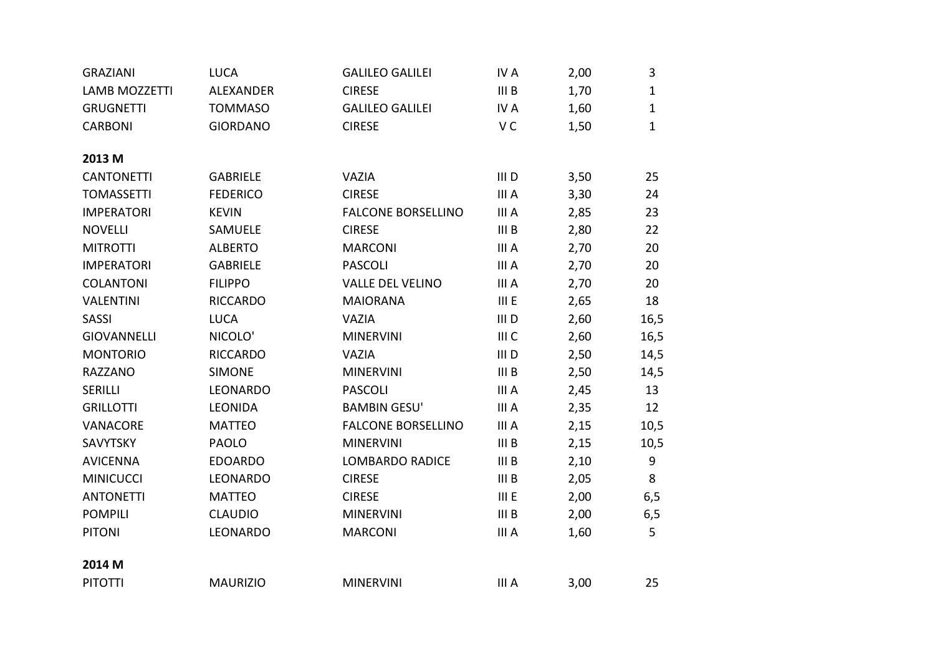| <b>GRAZIANI</b>      | <b>LUCA</b>     | <b>GALILEO GALILEI</b>    | IV A             | 2,00 | 3            |
|----------------------|-----------------|---------------------------|------------------|------|--------------|
| <b>LAMB MOZZETTI</b> | ALEXANDER       | <b>CIRESE</b>             | III <sub>B</sub> | 1,70 | $\mathbf{1}$ |
| <b>GRUGNETTI</b>     | <b>TOMMASO</b>  | <b>GALILEO GALILEI</b>    | IV A             | 1,60 | $\mathbf{1}$ |
| <b>CARBONI</b>       | <b>GIORDANO</b> | <b>CIRESE</b>             | V <sub>C</sub>   | 1,50 | $\mathbf{1}$ |
|                      |                 |                           |                  |      |              |
| 2013 M               |                 |                           |                  |      |              |
| <b>CANTONETTI</b>    | <b>GABRIELE</b> | <b>VAZIA</b>              | III <sub>D</sub> | 3,50 | 25           |
| <b>TOMASSETTI</b>    | <b>FEDERICO</b> | <b>CIRESE</b>             | III A            | 3,30 | 24           |
| <b>IMPERATORI</b>    | <b>KEVIN</b>    | <b>FALCONE BORSELLINO</b> | III A            | 2,85 | 23           |
| <b>NOVELLI</b>       | SAMUELE         | <b>CIRESE</b>             | III <sub>B</sub> | 2,80 | 22           |
| <b>MITROTTI</b>      | <b>ALBERTO</b>  | <b>MARCONI</b>            | III A            | 2,70 | 20           |
| <b>IMPERATORI</b>    | <b>GABRIELE</b> | <b>PASCOLI</b>            | III A            | 2,70 | 20           |
| <b>COLANTONI</b>     | <b>FILIPPO</b>  | <b>VALLE DEL VELINO</b>   | III A            | 2,70 | 20           |
| <b>VALENTINI</b>     | <b>RICCARDO</b> | <b>MAIORANA</b>           | III E            | 2,65 | 18           |
| <b>SASSI</b>         | <b>LUCA</b>     | <b>VAZIA</b>              | III <sub>D</sub> | 2,60 | 16,5         |
| <b>GIOVANNELLI</b>   | NICOLO'         | <b>MINERVINI</b>          | III C            | 2,60 | 16,5         |
| <b>MONTORIO</b>      | <b>RICCARDO</b> | <b>VAZIA</b>              | III D            | 2,50 | 14,5         |
| <b>RAZZANO</b>       | <b>SIMONE</b>   | <b>MINERVINI</b>          | III <sub>B</sub> | 2,50 | 14,5         |
| <b>SERILLI</b>       | <b>LEONARDO</b> | <b>PASCOLI</b>            | III A            | 2,45 | 13           |
| <b>GRILLOTTI</b>     | <b>LEONIDA</b>  | <b>BAMBIN GESU'</b>       | III A            | 2,35 | 12           |
| VANACORE             | <b>MATTEO</b>   | <b>FALCONE BORSELLINO</b> | III A            | 2,15 | 10,5         |
| SAVYTSKY             | <b>PAOLO</b>    | <b>MINERVINI</b>          | III <sub>B</sub> | 2,15 | 10,5         |
| <b>AVICENNA</b>      | <b>EDOARDO</b>  | <b>LOMBARDO RADICE</b>    | III B            | 2,10 | 9            |
| <b>MINICUCCI</b>     | LEONARDO        | <b>CIRESE</b>             | III B            | 2,05 | 8            |
| <b>ANTONETTI</b>     | <b>MATTEO</b>   | <b>CIRESE</b>             | III E            | 2,00 | 6,5          |
| <b>POMPILI</b>       | <b>CLAUDIO</b>  | <b>MINERVINI</b>          | III <sub>B</sub> | 2,00 | 6,5          |
| <b>PITONI</b>        | LEONARDO        | <b>MARCONI</b>            | III A            | 1,60 | 5            |
|                      |                 |                           |                  |      |              |
| 2014 M               |                 |                           |                  |      |              |
| <b>PITOTTI</b>       | <b>MAURIZIO</b> | <b>MINERVINI</b>          | III A            | 3,00 | 25           |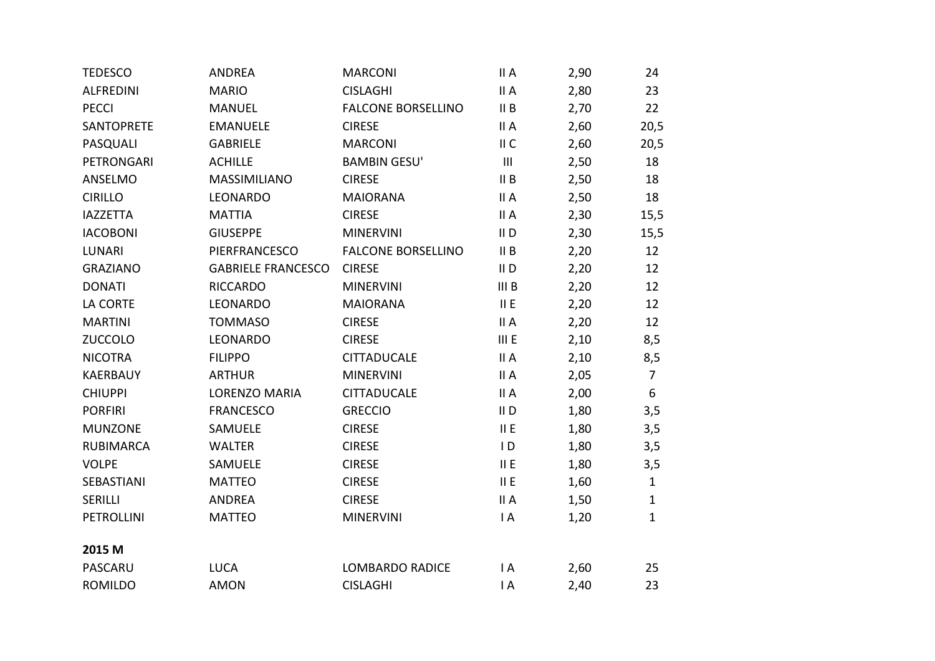| <b>TEDESCO</b>    | <b>ANDREA</b>             | <b>MARCONI</b>            | II A           | 2,90 | 24             |
|-------------------|---------------------------|---------------------------|----------------|------|----------------|
| <b>ALFREDINI</b>  | <b>MARIO</b>              | <b>CISLAGHI</b>           | II A           | 2,80 | 23             |
| <b>PECCI</b>      | <b>MANUEL</b>             | <b>FALCONE BORSELLINO</b> | II B           | 2,70 | 22             |
| <b>SANTOPRETE</b> | <b>EMANUELE</b>           | <b>CIRESE</b>             | II A           | 2,60 | 20,5           |
| PASQUALI          | <b>GABRIELE</b>           | <b>MARCONI</b>            | II C           | 2,60 | 20,5           |
| PETRONGARI        | <b>ACHILLE</b>            | <b>BAMBIN GESU'</b>       | $\mathbf{III}$ | 2,50 | 18             |
| ANSELMO           | MASSIMILIANO              | <b>CIRESE</b>             | II B           | 2,50 | 18             |
| <b>CIRILLO</b>    | LEONARDO                  | <b>MAIORANA</b>           | II A           | 2,50 | 18             |
| <b>IAZZETTA</b>   | <b>MATTIA</b>             | <b>CIRESE</b>             | II A           | 2,30 | 15,5           |
| <b>IACOBONI</b>   | <b>GIUSEPPE</b>           | <b>MINERVINI</b>          | $II$ D         | 2,30 | 15,5           |
| <b>LUNARI</b>     | PIERFRANCESCO             | <b>FALCONE BORSELLINO</b> | II B           | 2,20 | 12             |
| <b>GRAZIANO</b>   | <b>GABRIELE FRANCESCO</b> | <b>CIRESE</b>             | $II$ D         | 2,20 | 12             |
| <b>DONATI</b>     | <b>RICCARDO</b>           | <b>MINERVINI</b>          | III B          | 2,20 | 12             |
| LA CORTE          | LEONARDO                  | <b>MAIORANA</b>           | II E           | 2,20 | 12             |
| <b>MARTINI</b>    | <b>TOMMASO</b>            | <b>CIRESE</b>             | II A           | 2,20 | 12             |
| <b>ZUCCOLO</b>    | LEONARDO                  | <b>CIRESE</b>             | III E          | 2,10 | 8,5            |
| <b>NICOTRA</b>    | <b>FILIPPO</b>            | <b>CITTADUCALE</b>        | II A           | 2,10 | 8,5            |
| <b>KAERBAUY</b>   | <b>ARTHUR</b>             | <b>MINERVINI</b>          | II A           | 2,05 | $\overline{7}$ |
| <b>CHIUPPI</b>    | <b>LORENZO MARIA</b>      | <b>CITTADUCALE</b>        | II A           | 2,00 | 6              |
| <b>PORFIRI</b>    | <b>FRANCESCO</b>          | <b>GRECCIO</b>            | $II$ D         | 1,80 | 3,5            |
| <b>MUNZONE</b>    | SAMUELE                   | <b>CIRESE</b>             | II E           | 1,80 | 3,5            |
| <b>RUBIMARCA</b>  | <b>WALTER</b>             | <b>CIRESE</b>             | $\mathsf{I}$   | 1,80 | 3,5            |
| <b>VOLPE</b>      | SAMUELE                   | <b>CIRESE</b>             | II E           | 1,80 | 3,5            |
| SEBASTIANI        | <b>MATTEO</b>             | <b>CIRESE</b>             | II E           | 1,60 | $\mathbf{1}$   |
| SERILLI           | <b>ANDREA</b>             | <b>CIRESE</b>             | II A           | 1,50 | $\mathbf{1}$   |
| <b>PETROLLINI</b> | <b>MATTEO</b>             | <b>MINERVINI</b>          | $\mathsf{I}$ A | 1,20 | $\mathbf 1$    |
| 2015 M            |                           |                           |                |      |                |
| PASCARU           | <b>LUCA</b>               | <b>LOMBARDO RADICE</b>    | $\mathsf{I}$ A | 2,60 | 25             |
| <b>ROMILDO</b>    | <b>AMON</b>               | <b>CISLAGHI</b>           | $\mathsf{I}$ A | 2,40 | 23             |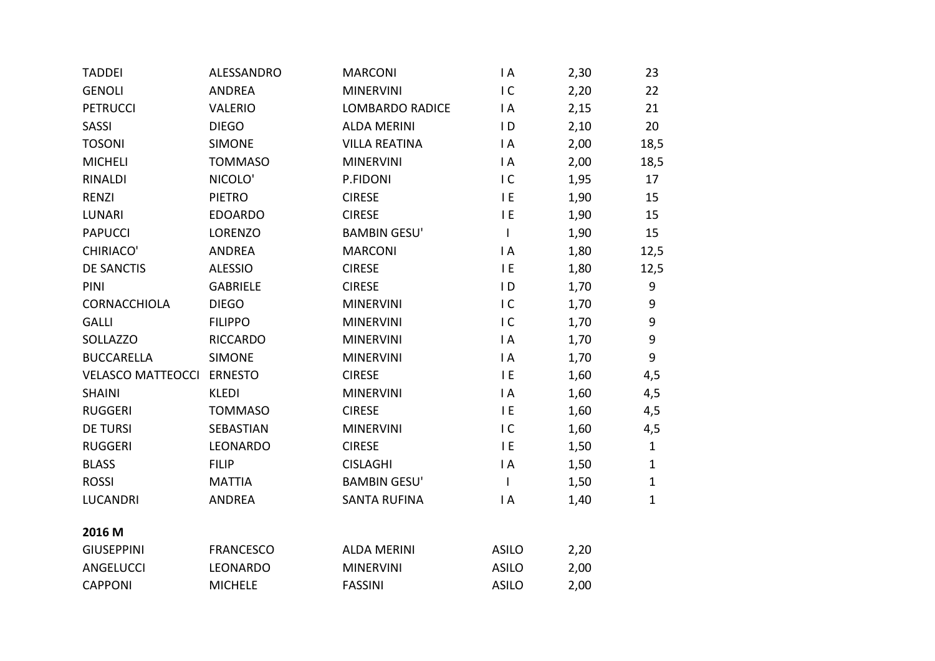| <b>TADDEI</b>            | ALESSANDRO       | <b>MARCONI</b>         | $\mathsf{I}$ A | 2,30 | 23           |
|--------------------------|------------------|------------------------|----------------|------|--------------|
| <b>GENOLI</b>            | <b>ANDREA</b>    | <b>MINERVINI</b>       | IC             | 2,20 | 22           |
| <b>PETRUCCI</b>          | <b>VALERIO</b>   | <b>LOMBARDO RADICE</b> | $\mathsf{I}$ A | 2,15 | 21           |
| SASSI                    | <b>DIEGO</b>     | <b>ALDA MERINI</b>     | $\overline{D}$ | 2,10 | 20           |
| <b>TOSONI</b>            | <b>SIMONE</b>    | <b>VILLA REATINA</b>   | $\mathsf{I}$ A | 2,00 | 18,5         |
| <b>MICHELI</b>           | <b>TOMMASO</b>   | <b>MINERVINI</b>       | $\mathsf{I}$ A | 2,00 | 18,5         |
| RINALDI                  | NICOLO'          | P.FIDONI               | IC             | 1,95 | 17           |
| <b>RENZI</b>             | <b>PIETRO</b>    | <b>CIRESE</b>          | I E            | 1,90 | 15           |
| <b>LUNARI</b>            | <b>EDOARDO</b>   | <b>CIRESE</b>          | E              | 1,90 | 15           |
| <b>PAPUCCI</b>           | <b>LORENZO</b>   | <b>BAMBIN GESU'</b>    | $\mathsf{I}$   | 1,90 | 15           |
| <b>CHIRIACO'</b>         | <b>ANDREA</b>    | <b>MARCONI</b>         | $\mathsf{I}$ A | 1,80 | 12,5         |
| <b>DE SANCTIS</b>        | <b>ALESSIO</b>   | <b>CIRESE</b>          | E              | 1,80 | 12,5         |
| PINI                     | <b>GABRIELE</b>  | <b>CIRESE</b>          | $\overline{D}$ | 1,70 | 9            |
| CORNACCHIOLA             | <b>DIEGO</b>     | <b>MINERVINI</b>       | IC             | 1,70 | 9            |
| <b>GALLI</b>             | <b>FILIPPO</b>   | <b>MINERVINI</b>       | IC             | 1,70 | 9            |
| SOLLAZZO                 | <b>RICCARDO</b>  | <b>MINERVINI</b>       | $\mathsf{I}$ A | 1,70 | 9            |
| <b>BUCCARELLA</b>        | <b>SIMONE</b>    | <b>MINERVINI</b>       | $\mathsf{I}$ A | 1,70 | 9            |
| <b>VELASCO MATTEOCCI</b> | <b>ERNESTO</b>   | <b>CIRESE</b>          | E              | 1,60 | 4,5          |
| <b>SHAINI</b>            | <b>KLEDI</b>     | <b>MINERVINI</b>       | $\mathsf{I}$ A | 1,60 | 4,5          |
| <b>RUGGERI</b>           | <b>TOMMASO</b>   | <b>CIRESE</b>          | I E            | 1,60 | 4,5          |
| <b>DE TURSI</b>          | SEBASTIAN        | <b>MINERVINI</b>       | IC             | 1,60 | 4,5          |
| <b>RUGGERI</b>           | LEONARDO         | <b>CIRESE</b>          | I E            | 1,50 | $\mathbf{1}$ |
| <b>BLASS</b>             | <b>FILIP</b>     | <b>CISLAGHI</b>        | $\mathsf{I}$ A | 1,50 | $\mathbf{1}$ |
| <b>ROSSI</b>             | <b>MATTIA</b>    | <b>BAMBIN GESU'</b>    | $\mathsf{I}$   | 1,50 | $\mathbf{1}$ |
| <b>LUCANDRI</b>          | <b>ANDREA</b>    | <b>SANTA RUFINA</b>    | $\mathsf{I}$ A | 1,40 | $\mathbf{1}$ |
|                          |                  |                        |                |      |              |
| 2016 M                   |                  |                        |                |      |              |
| <b>GIUSEPPINI</b>        | <b>FRANCESCO</b> | <b>ALDA MERINI</b>     | <b>ASILO</b>   | 2,20 |              |
| ANGELUCCI                | LEONARDO         | <b>MINERVINI</b>       | <b>ASILO</b>   | 2,00 |              |
| <b>CAPPONI</b>           | <b>MICHELE</b>   | <b>FASSINI</b>         | <b>ASILO</b>   | 2,00 |              |